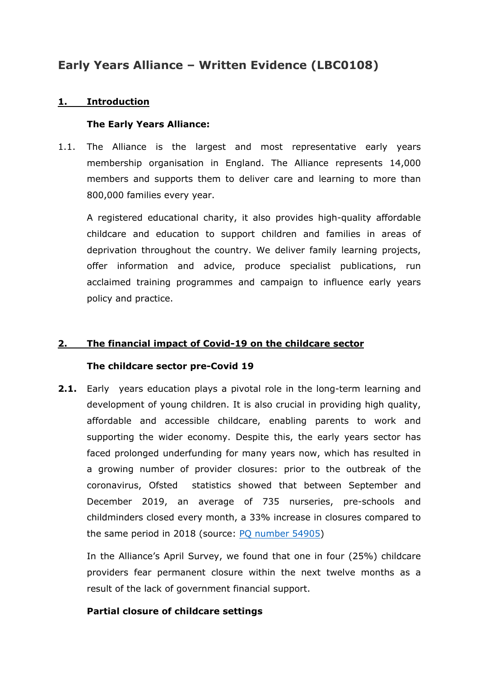# **Early Years Alliance – Written Evidence (LBC0108)**

# **1. Introduction**

## **The Early Years Alliance:**

1.1. The Alliance is the largest and most representative early years membership organisation in England. The Alliance represents 14,000 members and supports them to deliver care and learning to more than 800,000 families every year.

A registered educational charity, it also provides high-quality affordable childcare and education to support children and families in areas of deprivation throughout the country. We deliver family learning projects, offer information and advice, produce specialist publications, run acclaimed training programmes and campaign to influence early years policy and practice.

# **2. The financial impact of Covid-19 on the childcare sector**

## **The childcare sector pre-Covid 19**

**2.1.** Early years education plays a pivotal role in the long-term learning and development of young children. It is also crucial in providing high quality, affordable and accessible childcare, enabling parents to work and supporting the wider economy. Despite this, the early years sector has faced prolonged underfunding for many years now, which has resulted in a growing number of provider closures: prior to the outbreak of the coronavirus, Ofsted statistics showed that between September and December 2019, an average of 735 nurseries, pre-schools and childminders closed every month, a 33% increase in closures compared to the same period in 2018 (source: [PQ](http://data.parliament.uk/DepositedPapers/Files/DEP2020-0311/Letter_PQ_54905_Ofsted_response.pdf) [number](http://data.parliament.uk/DepositedPapers/Files/DEP2020-0311/Letter_PQ_54905_Ofsted_response.pdf) [54905](http://data.parliament.uk/DepositedPapers/Files/DEP2020-0311/Letter_PQ_54905_Ofsted_response.pdf))

In the Alliance's April Survey, we found that one in four (25%) childcare providers fear permanent closure within the next twelve months as a result of the lack of government financial support.

## **Partial closure of childcare settings**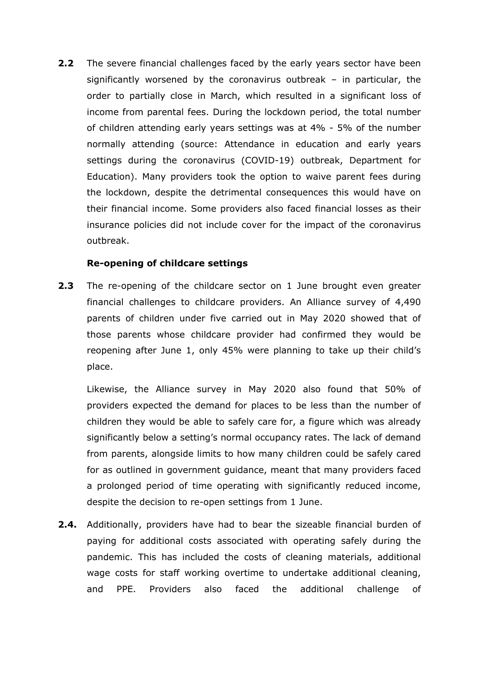**2.2** The severe financial challenges faced by the early years sector have been significantly worsened by the coronavirus outbreak – in particular, the order to partially close in March, which resulted in a significant loss of income from parental fees. During the lockdown period, the total number of children attending early years settings was at 4% - 5% of the number normally attending (source: Attendance in education and early years settings during the coronavirus (COVID-19) outbreak, Department for Education). Many providers took the option to waive parent fees during the lockdown, despite the detrimental consequences this would have on their financial income. Some providers also faced financial losses as their insurance policies did not include cover for the impact of the coronavirus outbreak.

## **Re-opening of childcare settings**

**2.3** The re-opening of the childcare sector on 1 June brought even greater financial challenges to childcare providers. An Alliance survey of 4,490 parents of children under five carried out in May 2020 showed that of those parents whose childcare provider had confirmed they would be reopening after June 1, only 45% were planning to take up their child's place.

Likewise, the Alliance survey in May 2020 also found that 50% of providers expected the demand for places to be less than the number of children they would be able to safely care for, a figure which was already significantly below a setting's normal occupancy rates. The lack of demand from parents, alongside limits to how many children could be safely cared for as outlined in government guidance, meant that many providers faced a prolonged period of time operating with significantly reduced income, despite the decision to re-open settings from 1 June.

**2.4.** Additionally, providers have had to bear the sizeable financial burden of paying for additional costs associated with operating safely during the pandemic. This has included the costs of cleaning materials, additional wage costs for staff working overtime to undertake additional cleaning, and PPE. Providers also faced the additional challenge of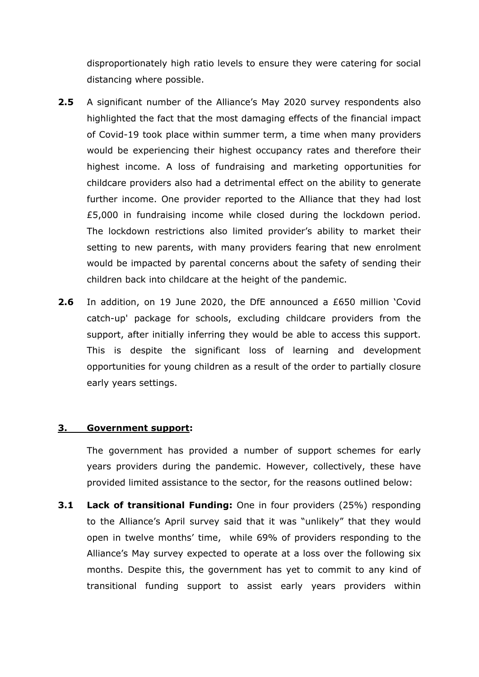disproportionately high ratio levels to ensure they were catering for social distancing where possible.

- **2.5** A significant number of the Alliance's May 2020 survey respondents also highlighted the fact that the most damaging effects of the financial impact of Covid-19 took place within summer term, a time when many providers would be experiencing their highest occupancy rates and therefore their highest income. A loss of fundraising and marketing opportunities for childcare providers also had a detrimental effect on the ability to generate further income. One provider reported to the Alliance that they had lost £5,000 in fundraising income while closed during the lockdown period. The lockdown restrictions also limited provider's ability to market their setting to new parents, with many providers fearing that new enrolment would be impacted by parental concerns about the safety of sending their children back into childcare at the height of the pandemic.
- **2.6** In addition, on 19 June 2020, the DfE announced a £650 million 'Covid catch-up' package for schools, excluding childcare providers from the support, after initially inferring they would be able to access this support. This is despite the significant loss of learning and development opportunities for young children as a result of the order to partially closure early years settings.

## **3. Government support:**

The government has provided a number of support schemes for early years providers during the pandemic. However, collectively, these have provided limited assistance to the sector, for the reasons outlined below:

**3.1 Lack of transitional Funding:** One in four providers (25%) responding to the Alliance's April survey said that it was "unlikely" that they would open in twelve months' time, while 69% of providers responding to the Alliance's May survey expected to operate at a loss over the following six months. Despite this, the government has yet to commit to any kind of transitional funding support to assist early years providers within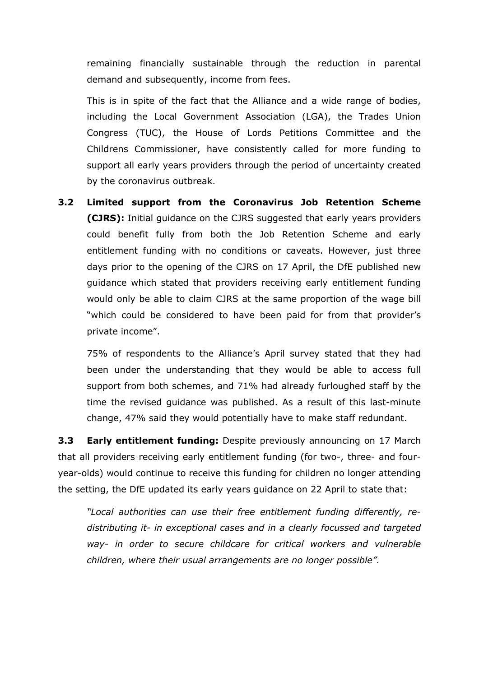remaining financially sustainable through the reduction in parental demand and subsequently, income from fees.

This is in spite of the fact that the Alliance and a wide range of bodies, including the Local Government Association (LGA), the Trades Union Congress (TUC), the House of Lords Petitions Committee and the Childrens Commissioner, have consistently called for more funding to support all early years providers through the period of uncertainty created by the coronavirus outbreak.

**3.2 Limited support from the Coronavirus Job Retention Scheme (CJRS):** Initial guidance on the CJRS suggested that early years providers could benefit fully from both the Job Retention Scheme and early entitlement funding with no conditions or caveats. However, just three days prior to the opening of the CJRS on 17 April, the DfE published new guidance which stated that providers receiving early entitlement funding would only be able to claim CJRS at the same proportion of the wage bill "which could be considered to have been paid for from that provider's private income".

75% of respondents to the Alliance's April survey stated that they had been under the understanding that they would be able to access full support from both schemes, and 71% had already furloughed staff by the time the revised guidance was published. As a result of this last-minute change, 47% said they would potentially have to make staff redundant.

**3.3 Early entitlement funding:** Despite previously announcing on 17 March that all providers receiving early entitlement funding (for two-, three- and fouryear-olds) would continue to receive this funding for children no longer attending the setting, the DfE updated its early years guidance on 22 April to state that:

*"Local authorities can use their free entitlement funding differently, redistributing it- in exceptional cases and in a clearly focussed and targeted way- in order to secure childcare for critical workers and vulnerable children, where their usual arrangements are no longer possible".*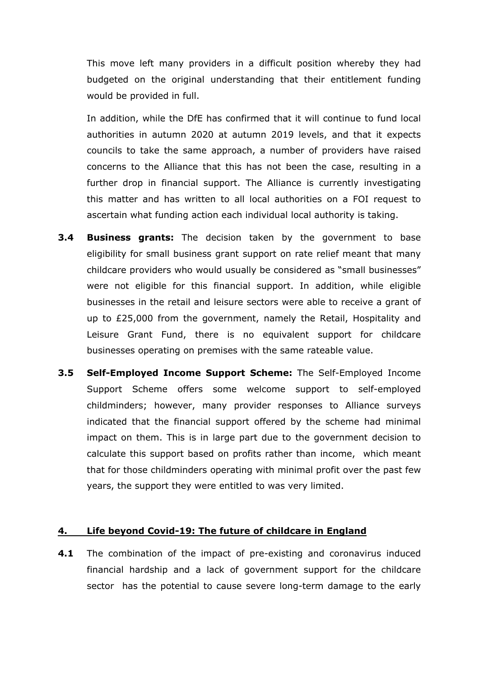This move left many providers in a difficult position whereby they had budgeted on the original understanding that their entitlement funding would be provided in full.

In addition, while the DfE has confirmed that it will continue to fund local authorities in autumn 2020 at autumn 2019 levels, and that it expects councils to take the same approach, a number of providers have raised concerns to the Alliance that this has not been the case, resulting in a further drop in financial support. The Alliance is currently investigating this matter and has written to all local authorities on a FOI request to ascertain what funding action each individual local authority is taking.

- **3.4 Business grants:** The decision taken by the government to base eligibility for small business grant support on rate relief meant that many childcare providers who would usually be considered as "small businesses" were not eligible for this financial support. In addition, while eligible businesses in the retail and leisure sectors were able to receive a grant of up to £25,000 from the government, namely the Retail, Hospitality and Leisure Grant Fund, there is no equivalent support for childcare businesses operating on premises with the same rateable value.
- **3.5 Self-Employed Income Support Scheme:** The Self-Employed Income Support Scheme offers some welcome support to self-employed childminders; however, many provider responses to Alliance surveys indicated that the financial support offered by the scheme had minimal impact on them. This is in large part due to the government decision to calculate this support based on profits rather than income, which meant that for those childminders operating with minimal profit over the past few years, the support they were entitled to was very limited.

#### **4. Life beyond Covid-19: The future of childcare in England**

**4.1** The combination of the impact of pre-existing and coronavirus induced financial hardship and a lack of government support for the childcare sector has the potential to cause severe long-term damage to the early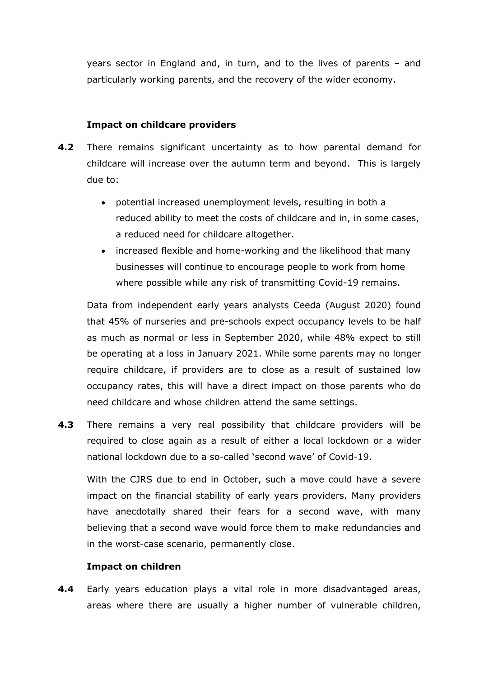years sector in England and, in turn, and to the lives of parents – and particularly working parents, and the recovery of the wider economy.

## **Impact on childcare providers**

- **4.2** There remains significant uncertainty as to how parental demand for childcare will increase over the autumn term and beyond. This is largely due to:
	- potential increased unemployment levels, resulting in both a reduced ability to meet the costs of childcare and in, in some cases, a reduced need for childcare altogether.
	- increased flexible and home-working and the likelihood that many businesses will continue to encourage people to work from home where possible while any risk of transmitting Covid-19 remains.

Data from independent early years analysts Ceeda (August 2020) found that 45% of nurseries and pre-schools expect occupancy levels to be half as much as normal or less in September 2020, while 48% expect to still be operating at a loss in January 2021. While some parents may no longer require childcare, if providers are to close as a result of sustained low occupancy rates, this will have a direct impact on those parents who do need childcare and whose children attend the same settings.

**4.3** There remains a very real possibility that childcare providers will be required to close again as a result of either a local lockdown or a wider national lockdown due to a so-called 'second wave' of Covid-19.

With the CJRS due to end in October, such a move could have a severe impact on the financial stability of early years providers. Many providers have anecdotally shared their fears for a second wave, with many believing that a second wave would force them to make redundancies and in the worst-case scenario, permanently close.

## **Impact on children**

**4.4** Early years education plays a vital role in more disadvantaged areas, areas where there are usually a higher number of vulnerable children,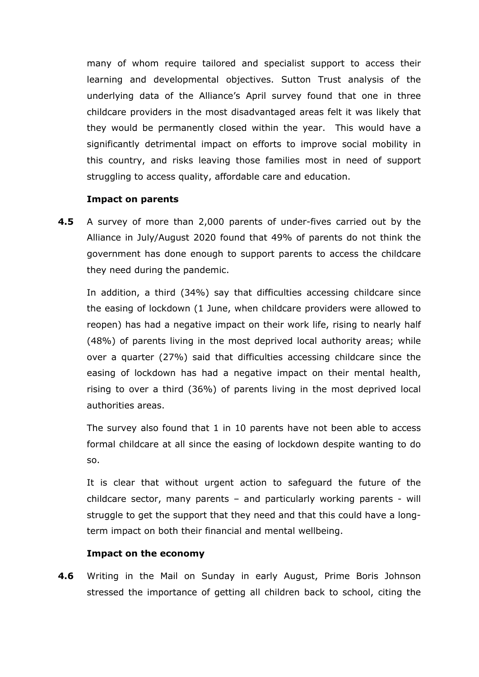many of whom require tailored and specialist support to access their learning and developmental objectives. Sutton Trust analysis of the underlying data of the Alliance's April survey found that one in three childcare providers in the most disadvantaged areas felt it was likely that they would be permanently closed within the year. This would have a significantly detrimental impact on efforts to improve social mobility in this country, and risks leaving those families most in need of support struggling to access quality, affordable care and education.

#### **Impact on parents**

**4.5** A survey of more than 2,000 parents of under-fives carried out by the Alliance in July/August 2020 found that 49% of parents do not think the government has done enough to support parents to access the childcare they need during the pandemic.

In addition, a third (34%) say that difficulties accessing childcare since the easing of lockdown (1 June, when childcare providers were allowed to reopen) has had a negative impact on their work life, rising to nearly half (48%) of parents living in the most deprived local authority areas; while over a quarter (27%) said that difficulties accessing childcare since the easing of lockdown has had a negative impact on their mental health, rising to over a third (36%) of parents living in the most deprived local authorities areas.

The survey also found that 1 in 10 parents have not been able to access formal childcare at all since the easing of lockdown despite wanting to do so.

It is clear that without urgent action to safeguard the future of the childcare sector, many parents – and particularly working parents - will struggle to get the support that they need and that this could have a longterm impact on both their financial and mental wellbeing.

## **Impact on the economy**

**4.6** Writing in the Mail on Sunday in early August, Prime Boris Johnson stressed the importance of getting all children back to school, citing the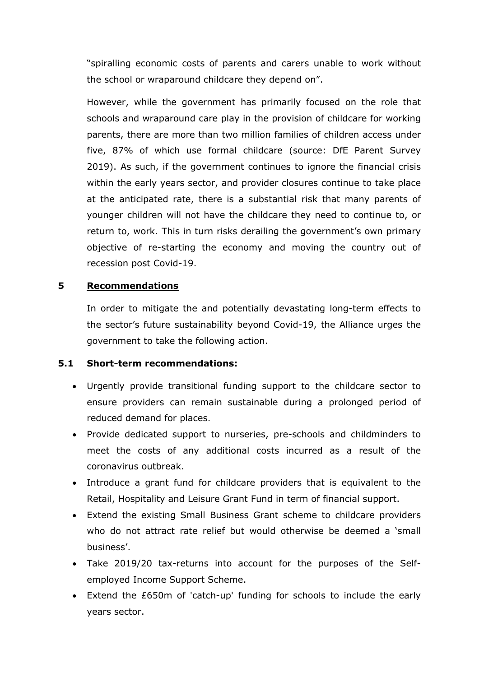"spiralling economic costs of parents and carers unable to work without the school or wraparound childcare they depend on".

However, while the government has primarily focused on the role that schools and wraparound care play in the provision of childcare for working parents, there are more than two million families of children access under five, 87% of which use formal childcare (source: DfE Parent Survey 2019). As such, if the government continues to ignore the financial crisis within the early years sector, and provider closures continue to take place at the anticipated rate, there is a substantial risk that many parents of younger children will not have the childcare they need to continue to, or return to, work. This in turn risks derailing the government's own primary objective of re-starting the economy and moving the country out of recession post Covid-19.

## **5 Recommendations**

In order to mitigate the and potentially devastating long-term effects to the sector's future sustainability beyond Covid-19, the Alliance urges the government to take the following action.

## **5.1 Short-term recommendations:**

- Urgently provide transitional funding support to the childcare sector to ensure providers can remain sustainable during a prolonged period of reduced demand for places.
- Provide dedicated support to nurseries, pre-schools and childminders to meet the costs of any additional costs incurred as a result of the coronavirus outbreak.
- Introduce a grant fund for childcare providers that is equivalent to the Retail, Hospitality and Leisure Grant Fund in term of financial support.
- Extend the existing Small Business Grant scheme to childcare providers who do not attract rate relief but would otherwise be deemed a 'small business'.
- Take 2019/20 tax-returns into account for the purposes of the Selfemployed Income Support Scheme.
- Extend the £650m of 'catch-up' funding for schools to include the early years sector.